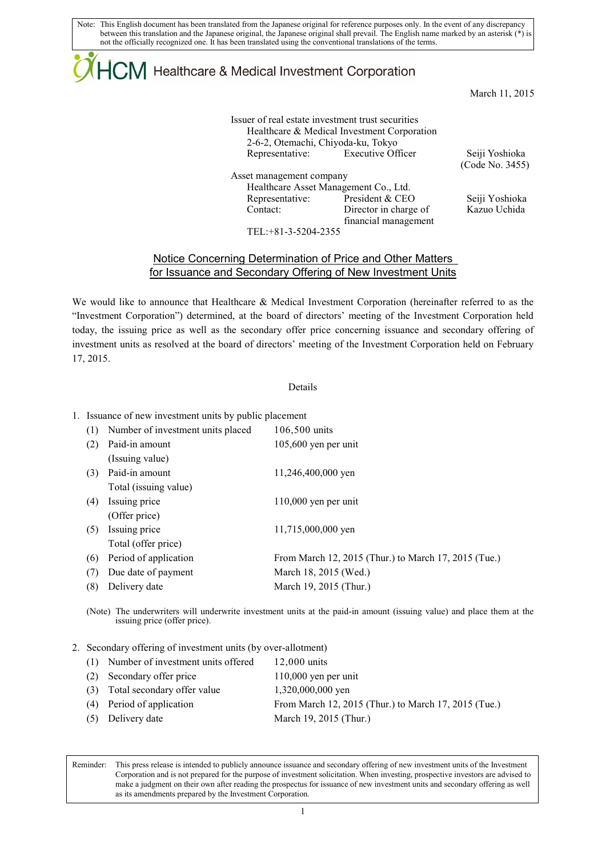Note: This English document has been translated from the Japanese original for reference purposes only. In the event of any discrepancy between this translation and the Japanese original, the Japanese original shall prevail. The English name marked by an asterisk (\*) is not the officially recognized one. It has been translated using the conventional translations of the terms.

# $\mathsf{ICM}\xspace$  Healthcare & Medical Investment Corporation

March 11, 2015

| Issuer of real estate investment trust securities |                          |  |  |  |
|---------------------------------------------------|--------------------------|--|--|--|
| Healthcare & Medical Investment Corporation       |                          |  |  |  |
| 2-6-2, Otemachi, Chiyoda-ku, Tokyo                |                          |  |  |  |
| Representative:                                   | <b>Executive Officer</b> |  |  |  |
| Asset management company                          |                          |  |  |  |

 Healthcare Asset Management Co., Ltd. Representative: President & CEO Seiji Yoshioka Contact: Director in charge of financial management

Seiji Yoshioka (Code No. 3455)

Kazuo Uchida

TEL:+81-3-5204-2355

## Notice Concerning Determination of Price and Other Matters for Issuance and Secondary Offering of New Investment Units

We would like to announce that Healthcare & Medical Investment Corporation (hereinafter referred to as the "Investment Corporation") determined, at the board of directors' meeting of the Investment Corporation held today, the issuing price as well as the secondary offer price concerning issuance and secondary offering of investment units as resolved at the board of directors' meeting of the Investment Corporation held on February 17, 2015.

#### Details

### 1. Issuance of new investment units by public placement

| (1) | Number of investment units placed | 106,500 units                                        |
|-----|-----------------------------------|------------------------------------------------------|
| (2) | Paid-in amount                    | $105,600$ yen per unit                               |
|     | (Issuing value)                   |                                                      |
| (3) | Paid-in amount                    | 11,246,400,000 yen                                   |
|     | Total (issuing value)             |                                                      |
| (4) | Issuing price                     | $110,000$ yen per unit                               |
|     | (Offer price)                     |                                                      |
| (5) | Issuing price                     | 11,715,000,000 yen                                   |
|     | Total (offer price)               |                                                      |
| (6) | Period of application             | From March 12, 2015 (Thur.) to March 17, 2015 (Tue.) |
| (7) | Due date of payment               | March 18, 2015 (Wed.)                                |
| (8) | Delivery date                     | March 19, 2015 (Thur.)                               |

(Note) The underwriters will underwrite investment units at the paid-in amount (issuing value) and place them at the issuing price (offer price).

#### 2. Secondary offering of investment units (by over-allotment)

|     | (1) Number of investment units offered | $12,000$ units                                       |
|-----|----------------------------------------|------------------------------------------------------|
| (2) | Secondary offer price                  | $110,000$ yen per unit                               |
|     | (3) Total secondary offer value        | 1,320,000,000 yen                                    |
|     | (4) Period of application              | From March 12, 2015 (Thur.) to March 17, 2015 (Tue.) |
|     | (5) Delivery date                      | March 19, 2015 (Thur.)                               |
|     |                                        |                                                      |

Reminder: This press release is intended to publicly announce issuance and secondary offering of new investment units of the Investment Corporation and is not prepared for the purpose of investment solicitation. When investing, prospective investors are advised to make a judgment on their own after reading the prospectus for issuance of new investment units and secondary offering as well as its amendments prepared by the Investment Corporation.